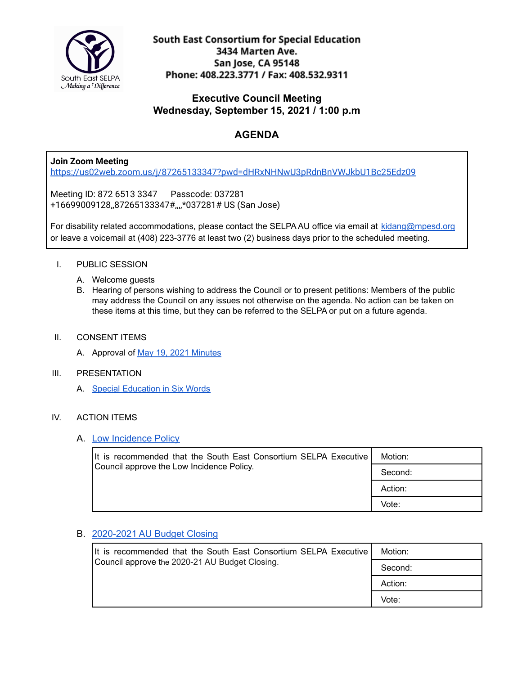

South East Consortium for Special Education 3434 Marten Ave. San Jose, CA 95148 Phone: 408.223.3771 / Fax: 408.532.9311

## **Executive Council Meeting Wednesday, September 15, 2021 / 1:00 p.m**

# **AGENDA**

**Join Zoom Meeting**

<https://us02web.zoom.us/j/87265133347?pwd=dHRxNHNwU3pRdnBnVWJkbU1Bc25Edz09>

Meeting ID: 872 6513 3347 Passcode: 037281 +16699009128,,87265133347#,,,,\*037281# US (San Jose)

For disability related accommodations, please contact the SELPA AU office via email at [kidang@mpesd.org](mailto:kidang@mpesd.org) or leave a voicemail at (408) 223-3776 at least two (2) business days prior to the scheduled meeting.

### I. PUBLIC SESSION

- A. Welcome guests
- B. Hearing of persons wishing to address the Council or to present petitions: Members of the public may address the Council on any issues not otherwise on the agenda. No action can be taken on these items at this time, but they can be referred to the SELPA or put on a future agenda.

#### II. CONSENT ITEMS

A. Approval of May 19, 2021 [Minutes](https://docs.google.com/document/d/1C0DfYiOVEJVahYjGwbsR33y968-CuBbnBiMVdUlykEw/edit?usp=sharing)

#### III. PRESENTATION

A. Special [Education](https://docs.google.com/presentation/d/1crC6EQLc38RTpNHT5FWAyJTB7VL63xUy99qRbLVowTA/edit?usp=sharing) in Six Words

#### IV. ACTION ITEMS

#### A. Low [Incidence](https://drive.google.com/file/d/1-ZPVVNQJF7SBRvf4ZNlbGuF_ZoED7PMD/view?usp=sharing) Policy

| It is recommended that the South East Consortium SELPA Executive<br>Council approve the Low Incidence Policy. | Motion: |
|---------------------------------------------------------------------------------------------------------------|---------|
|                                                                                                               | Second: |
|                                                                                                               | Action: |
|                                                                                                               | Vote:   |

#### B. [2020-2021](https://drive.google.com/file/d/1VoUQV_hPd3z87muE2SOO4vaPdtqvKLZ8/view?usp=sharing) AU Budget Closing

| It is recommended that the South East Consortium SELPA Executive<br>Council approve the 2020-21 AU Budget Closing. | Motion: |
|--------------------------------------------------------------------------------------------------------------------|---------|
|                                                                                                                    | Second: |
|                                                                                                                    | Action: |
|                                                                                                                    | Vote:   |